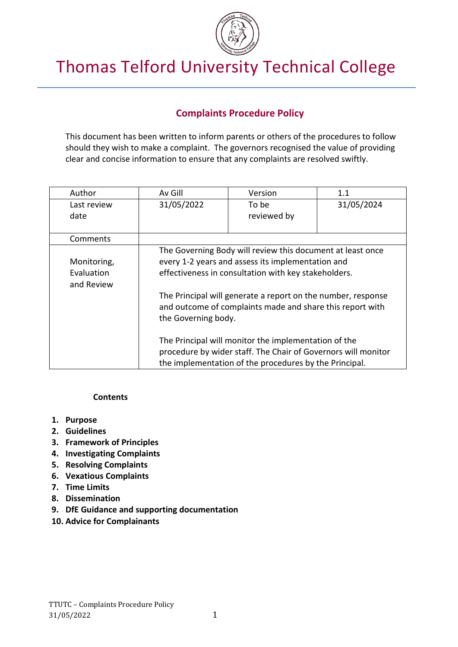

# Thomas Telford University Technical College

## **Complaints Procedure Policy**

This document has been written to inform parents or others of the procedures to follow should they wish to make a complaint. The governors recognised the value of providing clear and concise information to ensure that any complaints are resolved swiftly.

| Author      | Av Gill                                                                                                                   | Version                                                    | 1.1        |  |
|-------------|---------------------------------------------------------------------------------------------------------------------------|------------------------------------------------------------|------------|--|
| Last review | 31/05/2022                                                                                                                | To be                                                      | 31/05/2024 |  |
| date        |                                                                                                                           | reviewed by                                                |            |  |
|             |                                                                                                                           |                                                            |            |  |
| Comments    |                                                                                                                           |                                                            |            |  |
|             |                                                                                                                           | The Governing Body will review this document at least once |            |  |
| Monitoring, | every 1-2 years and assess its implementation and                                                                         |                                                            |            |  |
| Evaluation  | effectiveness in consultation with key stakeholders.                                                                      |                                                            |            |  |
| and Review  |                                                                                                                           |                                                            |            |  |
|             | The Principal will generate a report on the number, response<br>and outcome of complaints made and share this report with |                                                            |            |  |
|             | the Governing body.                                                                                                       |                                                            |            |  |
|             |                                                                                                                           |                                                            |            |  |
|             | The Principal will monitor the implementation of the                                                                      |                                                            |            |  |
|             | procedure by wider staff. The Chair of Governors will monitor                                                             |                                                            |            |  |
|             | the implementation of the procedures by the Principal.                                                                    |                                                            |            |  |

#### **Contents**

- **1. Purpose**
- **2. Guidelines**
- **3. Framework of Principles**
- **4. Investigating Complaints**
- **5. Resolving Complaints**
- **6. Vexatious Complaints**
- **7. Time Limits**
- **8. Dissemination**
- **9. DfE Guidance and supporting documentation**
- **10. Advice for Complainants**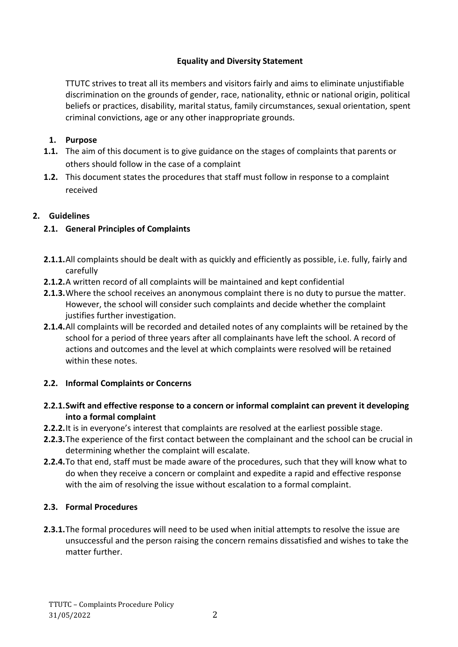## **Equality and Diversity Statement**

TTUTC strives to treat all its members and visitors fairly and aims to eliminate unjustifiable discrimination on the grounds of gender, race, nationality, ethnic or national origin, political beliefs or practices, disability, marital status, family circumstances, sexual orientation, spent criminal convictions, age or any other inappropriate grounds.

## **1. Purpose**

- **1.1.** The aim of this document is to give guidance on the stages of complaints that parents or others should follow in the case of a complaint
- **1.2.** This document states the procedures that staff must follow in response to a complaint received

## **2. Guidelines**

## **2.1. General Principles of Complaints**

- **2.1.1.**All complaints should be dealt with as quickly and efficiently as possible, i.e. fully, fairly and carefully
- **2.1.2.**A written record of all complaints will be maintained and kept confidential
- **2.1.3.**Where the school receives an anonymous complaint there is no duty to pursue the matter. However, the school will consider such complaints and decide whether the complaint justifies further investigation.
- **2.1.4.**All complaints will be recorded and detailed notes of any complaints will be retained by the school for a period of three years after all complainants have left the school. A record of actions and outcomes and the level at which complaints were resolved will be retained within these notes.

## **2.2. Informal Complaints or Concerns**

- **2.2.1.Swift and effective response to a concern or informal complaint can prevent it developing into a formal complaint**
- **2.2.2.**It is in everyone's interest that complaints are resolved at the earliest possible stage.
- **2.2.3.**The experience of the first contact between the complainant and the school can be crucial in determining whether the complaint will escalate.
- **2.2.4.**To that end, staff must be made aware of the procedures, such that they will know what to do when they receive a concern or complaint and expedite a rapid and effective response with the aim of resolving the issue without escalation to a formal complaint.

## **2.3. Formal Procedures**

**2.3.1.**The formal procedures will need to be used when initial attempts to resolve the issue are unsuccessful and the person raising the concern remains dissatisfied and wishes to take the matter further.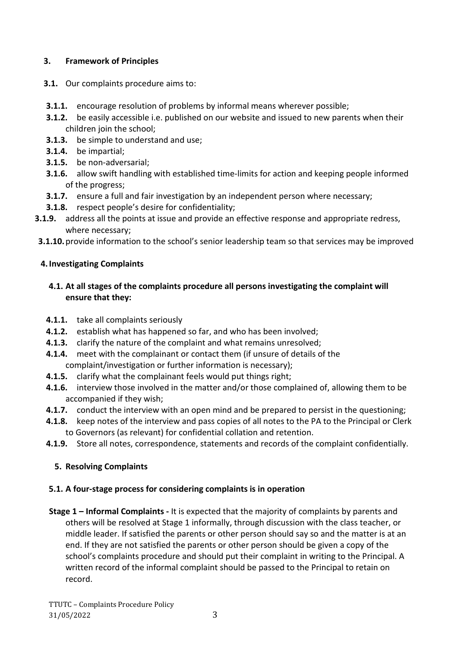## **3. Framework of Principles**

- **3.1.** Our complaints procedure aims to:
- **3.1.1.** encourage resolution of problems by informal means wherever possible;
- **3.1.2.** be easily accessible i.e. published on our website and issued to new parents when their children join the school;
- **3.1.3.** be simple to understand and use;
- **3.1.4.** be impartial;
- **3.1.5.** be non-adversarial;
- **3.1.6.** allow swift handling with established time-limits for action and keeping people informed of the progress;
- **3.1.7.** ensure a full and fair investigation by an independent person where necessary;
- **3.1.8.** respect people's desire for confidentiality;
- **3.1.9.** address all the points at issue and provide an effective response and appropriate redress, where necessary;
- **3.1.10.**provide information to the school's senior leadership team so that services may be improved

## **4.Investigating Complaints**

- **4.1. At all stages of the complaints procedure all persons investigating the complaint will ensure that they:**
- **4.1.1.** take all complaints seriously
- **4.1.2.** establish what has happened so far, and who has been involved;
- **4.1.3.** clarify the nature of the complaint and what remains unresolved;
- **4.1.4.** meet with the complainant or contact them (if unsure of details of the complaint/investigation or further information is necessary);
- **4.1.5.** clarify what the complainant feels would put things right;
- **4.1.6.** interview those involved in the matter and/or those complained of, allowing them to be accompanied if they wish;
- **4.1.7.** conduct the interview with an open mind and be prepared to persist in the questioning;
- **4.1.8.** keep notes of the interview and pass copies of all notes to the PA to the Principal or Clerk to Governors (as relevant) for confidential collation and retention.
- **4.1.9.** Store all notes, correspondence, statements and records of the complaint confidentially.

## **5. Resolving Complaints**

## **5.1. A four-stage process for considering complaints is in operation**

**Stage 1 – Informal Complaints -** It is expected that the majority of complaints by parents and others will be resolved at Stage 1 informally, through discussion with the class teacher, or middle leader. If satisfied the parents or other person should say so and the matter is at an end. If they are not satisfied the parents or other person should be given a copy of the school's complaints procedure and should put their complaint in writing to the Principal. A written record of the informal complaint should be passed to the Principal to retain on record.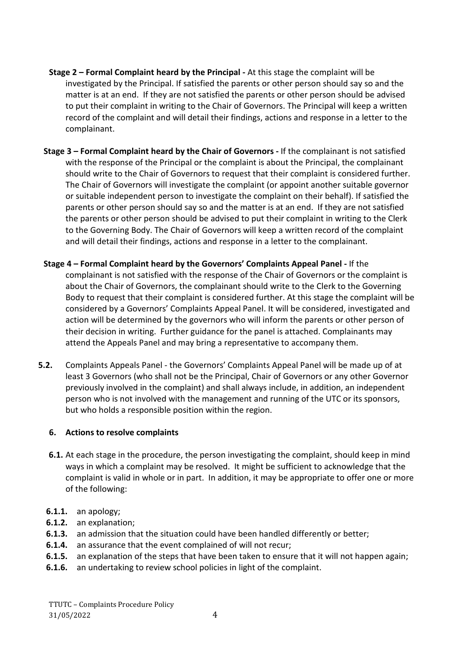- **Stage 2 – Formal Complaint heard by the Principal -** At this stage the complaint will be investigated by the Principal. If satisfied the parents or other person should say so and the matter is at an end. If they are not satisfied the parents or other person should be advised to put their complaint in writing to the Chair of Governors. The Principal will keep a written record of the complaint and will detail their findings, actions and response in a letter to the complainant.
- **Stage 3 – Formal Complaint heard by the Chair of Governors -** If the complainant is not satisfied with the response of the Principal or the complaint is about the Principal, the complainant should write to the Chair of Governors to request that their complaint is considered further. The Chair of Governors will investigate the complaint (or appoint another suitable governor or suitable independent person to investigate the complaint on their behalf). If satisfied the parents or other person should say so and the matter is at an end. If they are not satisfied the parents or other person should be advised to put their complaint in writing to the Clerk to the Governing Body. The Chair of Governors will keep a written record of the complaint and will detail their findings, actions and response in a letter to the complainant.
- **Stage 4 – Formal Complaint heard by the Governors' Complaints Appeal Panel -** If the complainant is not satisfied with the response of the Chair of Governors or the complaint is about the Chair of Governors, the complainant should write to the Clerk to the Governing Body to request that their complaint is considered further. At this stage the complaint will be considered by a Governors' Complaints Appeal Panel. It will be considered, investigated and action will be determined by the governors who will inform the parents or other person of their decision in writing. Further guidance for the panel is attached. Complainants may attend the Appeals Panel and may bring a representative to accompany them.
- **5.2.** Complaints Appeals Panel the Governors' Complaints Appeal Panel will be made up of at least 3 Governors (who shall not be the Principal, Chair of Governors or any other Governor previously involved in the complaint) and shall always include, in addition, an independent person who is not involved with the management and running of the UTC or its sponsors, but who holds a responsible position within the region.

## **6. Actions to resolve complaints**

- **6.1.** At each stage in the procedure, the person investigating the complaint, should keep in mind ways in which a complaint may be resolved. It might be sufficient to acknowledge that the complaint is valid in whole or in part. In addition, it may be appropriate to offer one or more of the following:
- **6.1.1.** an apology;
- **6.1.2.** an explanation;
- **6.1.3.** an admission that the situation could have been handled differently or better;
- **6.1.4.** an assurance that the event complained of will not recur;
- **6.1.5.** an explanation of the steps that have been taken to ensure that it will not happen again;
- **6.1.6.** an undertaking to review school policies in light of the complaint.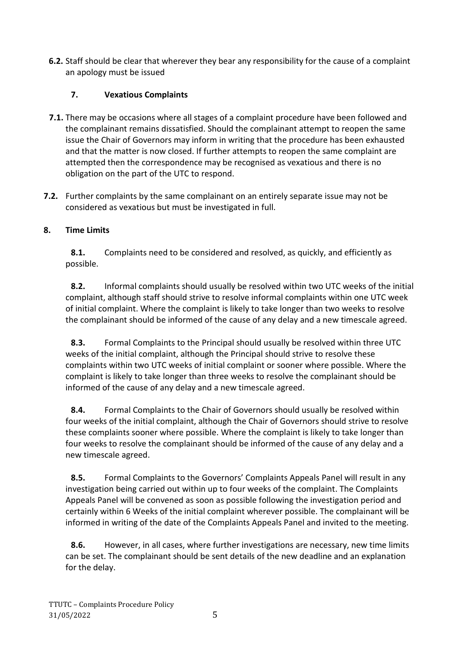**6.2.** Staff should be clear that wherever they bear any responsibility for the cause of a complaint an apology must be issued

## **7. Vexatious Complaints**

- **7.1.** There may be occasions where all stages of a complaint procedure have been followed and the complainant remains dissatisfied. Should the complainant attempt to reopen the same issue the Chair of Governors may inform in writing that the procedure has been exhausted and that the matter is now closed. If further attempts to reopen the same complaint are attempted then the correspondence may be recognised as vexatious and there is no obligation on the part of the UTC to respond.
- **7.2.** Further complaints by the same complainant on an entirely separate issue may not be considered as vexatious but must be investigated in full.

## **8. Time Limits**

**8.1.** Complaints need to be considered and resolved, as quickly, and efficiently as possible.

**8.2.** Informal complaints should usually be resolved within two UTC weeks of the initial complaint, although staff should strive to resolve informal complaints within one UTC week of initial complaint. Where the complaint is likely to take longer than two weeks to resolve the complainant should be informed of the cause of any delay and a new timescale agreed.

**8.3.** Formal Complaints to the Principal should usually be resolved within three UTC weeks of the initial complaint, although the Principal should strive to resolve these complaints within two UTC weeks of initial complaint or sooner where possible. Where the complaint is likely to take longer than three weeks to resolve the complainant should be informed of the cause of any delay and a new timescale agreed.

**8.4.** Formal Complaints to the Chair of Governors should usually be resolved within four weeks of the initial complaint, although the Chair of Governors should strive to resolve these complaints sooner where possible. Where the complaint is likely to take longer than four weeks to resolve the complainant should be informed of the cause of any delay and a new timescale agreed.

**8.5.** Formal Complaints to the Governors' Complaints Appeals Panel will result in any investigation being carried out within up to four weeks of the complaint. The Complaints Appeals Panel will be convened as soon as possible following the investigation period and certainly within 6 Weeks of the initial complaint wherever possible. The complainant will be informed in writing of the date of the Complaints Appeals Panel and invited to the meeting.

**8.6.** However, in all cases, where further investigations are necessary, new time limits can be set. The complainant should be sent details of the new deadline and an explanation for the delay.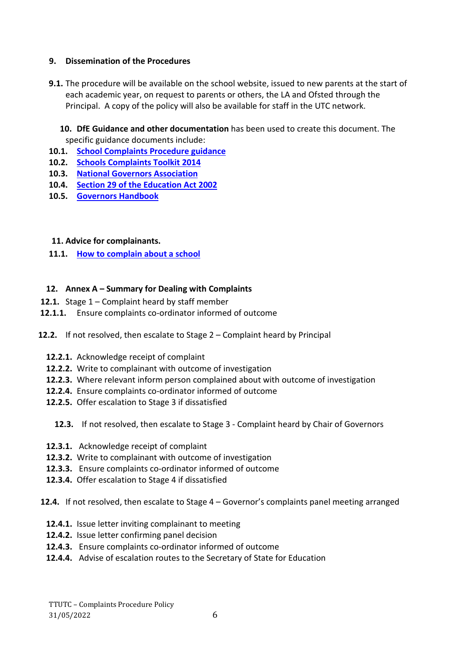## **9. Dissemination of the Procedures**

- **9.1.** The procedure will be available on the school website, issued to new parents at the start of each academic year, on request to parents or others, the LA and Ofsted through the Principal. A copy of the policy will also be available for staff in the UTC network.
	- **10. DfE Guidance and other documentation** has been used to create this document. The specific guidance documents include:
- **10.1. [School Complaints Procedure guidance](https://www.gov.uk/government/publications/school-complaints-procedure)**
- **10.2. [Schools Complaints Toolkit 2014](https://www.gov.uk/government/uploads/system/uploads/attachment_data/file/346867/School_Complaints_Toolkit_2014.pdf)**
- **10.3. [National Governors Association](http://www.nga.org.uk/Useful_Contacts/General-contacts/GovernorLine.aspx)**
- **10.4. [Section 29 of the Education Act 2002](http://www.legislation.gov.uk/ukpga/2002/32/contents)**
- **10.5. [Governors Handbook](https://www.gov.uk/government/publications/governors-handbook--3)**

## **11. Advice for complainants.**

**11.1. [How to complain about a school](https://www.gov.uk/complain-about-school)**

## **12. Annex A – Summary for Dealing with Complaints**

- **12.1.** Stage 1 Complaint heard by staff member
- **12.1.1.** Ensure complaints co-ordinator informed of outcome
- **12.2.** If not resolved, then escalate to Stage 2 Complaint heard by Principal
	- **12.2.1.** Acknowledge receipt of complaint
	- **12.2.2.** Write to complainant with outcome of investigation
	- **12.2.3.** Where relevant inform person complained about with outcome of investigation
	- **12.2.4.** Ensure complaints co-ordinator informed of outcome
	- **12.2.5.** Offer escalation to Stage 3 if dissatisfied
		- **12.3.** If not resolved, then escalate to Stage 3 Complaint heard by Chair of Governors
	- **12.3.1.** Acknowledge receipt of complaint
	- **12.3.2.** Write to complainant with outcome of investigation
	- **12.3.3.** Ensure complaints co-ordinator informed of outcome
	- **12.3.4.** Offer escalation to Stage 4 if dissatisfied

#### **12.4.** If not resolved, then escalate to Stage 4 – Governor's complaints panel meeting arranged

- **12.4.1.** Issue letter inviting complainant to meeting
- **12.4.2.** Issue letter confirming panel decision
- **12.4.3.** Ensure complaints co-ordinator informed of outcome
- **12.4.4.** Advise of escalation routes to the Secretary of State for Education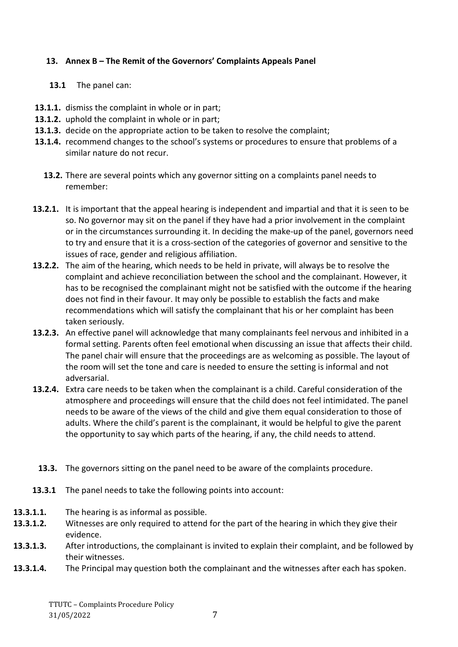## **13. Annex B – The Remit of the Governors' Complaints Appeals Panel**

- **13.1** The panel can:
- **13.1.1.** dismiss the complaint in whole or in part;
- **13.1.2.** uphold the complaint in whole or in part;
- **13.1.3.** decide on the appropriate action to be taken to resolve the complaint;
- **13.1.4.** recommend changes to the school's systems or procedures to ensure that problems of a similar nature do not recur.
	- **13.2.** There are several points which any governor sitting on a complaints panel needs to remember:
- **13.2.1.** It is important that the appeal hearing is independent and impartial and that it is seen to be so. No governor may sit on the panel if they have had a prior involvement in the complaint or in the circumstances surrounding it. In deciding the make-up of the panel, governors need to try and ensure that it is a cross-section of the categories of governor and sensitive to the issues of race, gender and religious affiliation.
- **13.2.2.** The aim of the hearing, which needs to be held in private, will always be to resolve the complaint and achieve reconciliation between the school and the complainant. However, it has to be recognised the complainant might not be satisfied with the outcome if the hearing does not find in their favour. It may only be possible to establish the facts and make recommendations which will satisfy the complainant that his or her complaint has been taken seriously.
- **13.2.3.** An effective panel will acknowledge that many complainants feel nervous and inhibited in a formal setting. Parents often feel emotional when discussing an issue that affects their child. The panel chair will ensure that the proceedings are as welcoming as possible. The layout of the room will set the tone and care is needed to ensure the setting is informal and not adversarial.
- **13.2.4.** Extra care needs to be taken when the complainant is a child. Careful consideration of the atmosphere and proceedings will ensure that the child does not feel intimidated. The panel needs to be aware of the views of the child and give them equal consideration to those of adults. Where the child's parent is the complainant, it would be helpful to give the parent the opportunity to say which parts of the hearing, if any, the child needs to attend.
	- **13.3.** The governors sitting on the panel need to be aware of the complaints procedure.
- **13.3.1** The panel needs to take the following points into account:
- **13.3.1.1.** The hearing is as informal as possible.
- **13.3.1.2.** Witnesses are only required to attend for the part of the hearing in which they give their evidence.
- **13.3.1.3.** After introductions, the complainant is invited to explain their complaint, and be followed by their witnesses.
- **13.3.1.4.** The Principal may question both the complainant and the witnesses after each has spoken.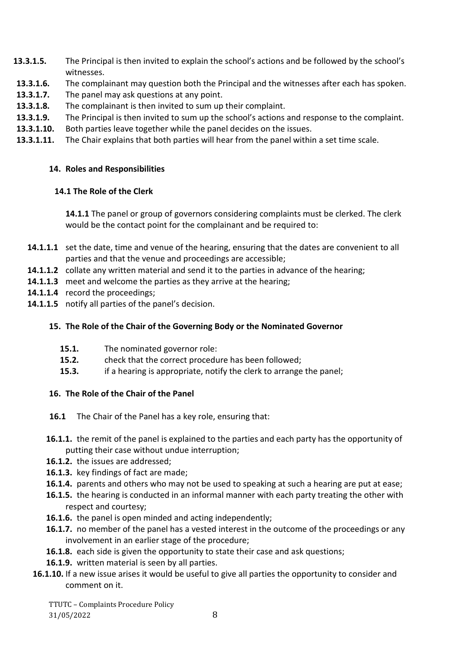- **13.3.1.5.** The Principal is then invited to explain the school's actions and be followed by the school's witnesses.
- **13.3.1.6.** The complainant may question both the Principal and the witnesses after each has spoken.
- **13.3.1.7.** The panel may ask questions at any point.
- **13.3.1.8.** The complainant is then invited to sum up their complaint.
- **13.3.1.9.** The Principal is then invited to sum up the school's actions and response to the complaint.
- **13.3.1.10.** Both parties leave together while the panel decides on the issues.
- **13.3.1.11.** The Chair explains that both parties will hear from the panel within a set time scale.

## **14. Roles and Responsibilities**

## **14.1 The Role of the Clerk**

**14.1.1** The panel or group of governors considering complaints must be clerked. The clerk would be the contact point for the complainant and be required to:

- **14.1.1.1** set the date, time and venue of the hearing, ensuring that the dates are convenient to all parties and that the venue and proceedings are accessible;
- **14.1.1.2** collate any written material and send it to the parties in advance of the hearing;
- **14.1.1.3** meet and welcome the parties as they arrive at the hearing;
- **14.1.1.4** record the proceedings;
- **14.1.1.5** notify all parties of the panel's decision.

## **15. The Role of the Chair of the Governing Body or the Nominated Governor**

- **15.1.** The nominated governor role:
- **15.2.** check that the correct procedure has been followed;
- **15.3.** if a hearing is appropriate, notify the clerk to arrange the panel;

## **16. The Role of the Chair of the Panel**

- **16.1** The Chair of the Panel has a key role, ensuring that:
- **16.1.1.** the remit of the panel is explained to the parties and each party has the opportunity of putting their case without undue interruption;
- **16.1.2.** the issues are addressed;
- **16.1.3.** key findings of fact are made;
- **16.1.4.** parents and others who may not be used to speaking at such a hearing are put at ease;
- **16.1.5.** the hearing is conducted in an informal manner with each party treating the other with respect and courtesy;
- **16.1.6.** the panel is open minded and acting independently;
- **16.1.7.** no member of the panel has a vested interest in the outcome of the proceedings or any involvement in an earlier stage of the procedure;
- **16.1.8.** each side is given the opportunity to state their case and ask questions;
- **16.1.9.** written material is seen by all parties.
- **16.1.10.** If a new issue arises it would be useful to give all parties the opportunity to consider and comment on it.

TTUTC – Complaints Procedure Policy 31/05/2022 8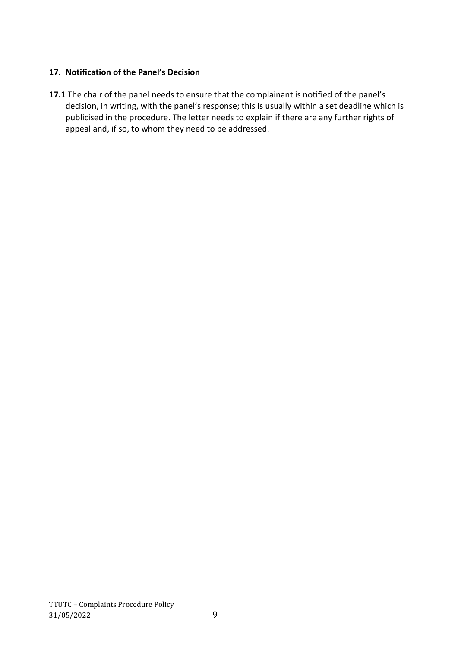## **17. Notification of the Panel's Decision**

**17.1** The chair of the panel needs to ensure that the complainant is notified of the panel's decision, in writing, with the panel's response; this is usually within a set deadline which is publicised in the procedure. The letter needs to explain if there are any further rights of appeal and, if so, to whom they need to be addressed.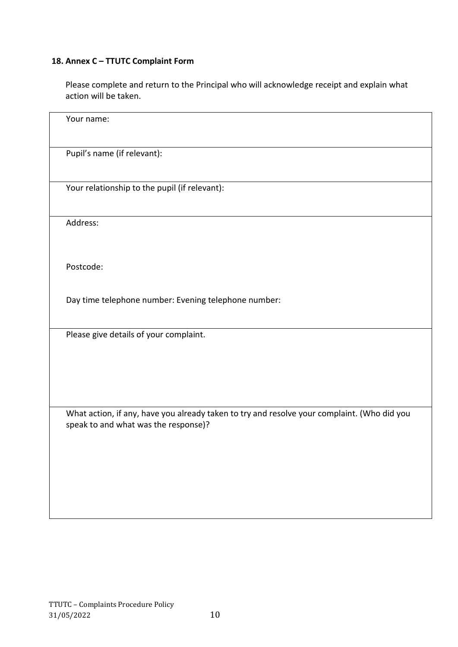# **18. Annex C – TTUTC Complaint Form**

Please complete and return to the Principal who will acknowledge receipt and explain what action will be taken.

| Your name:                                                                                                                          |
|-------------------------------------------------------------------------------------------------------------------------------------|
|                                                                                                                                     |
| Pupil's name (if relevant):                                                                                                         |
|                                                                                                                                     |
| Your relationship to the pupil (if relevant):                                                                                       |
|                                                                                                                                     |
| Address:                                                                                                                            |
|                                                                                                                                     |
| Postcode:                                                                                                                           |
|                                                                                                                                     |
| Day time telephone number: Evening telephone number:                                                                                |
|                                                                                                                                     |
| Please give details of your complaint.                                                                                              |
|                                                                                                                                     |
|                                                                                                                                     |
|                                                                                                                                     |
| What action, if any, have you already taken to try and resolve your complaint. (Who did you<br>speak to and what was the response)? |
|                                                                                                                                     |
|                                                                                                                                     |
|                                                                                                                                     |
|                                                                                                                                     |